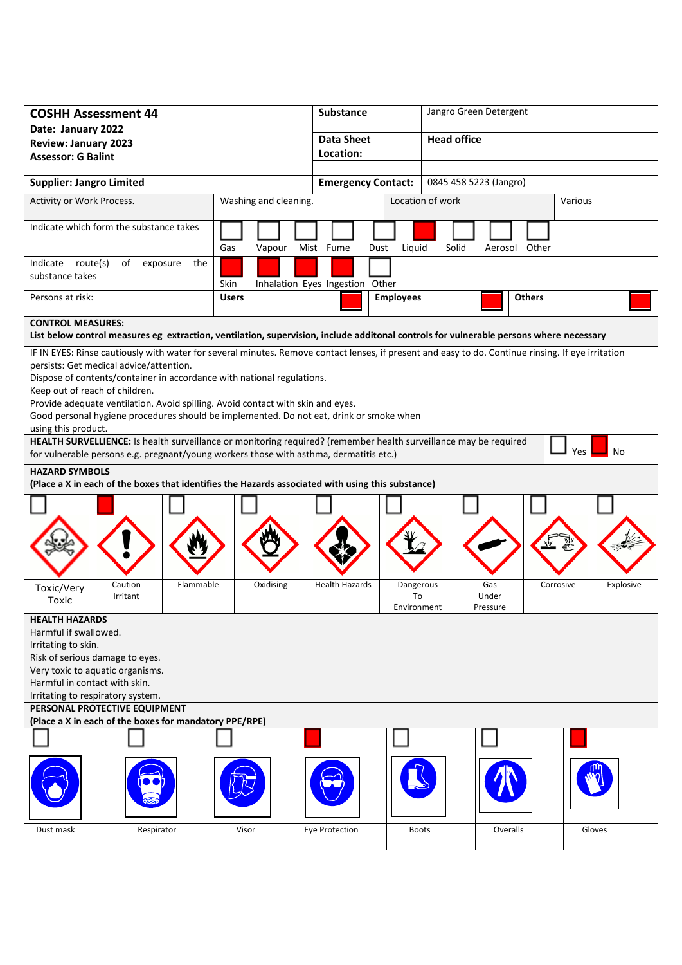| <b>COSHH Assessment 44</b>                                                                                                 |                       |                                                                                                                                                    | Substance                       |                                                     | Jangro Green Detergent |               |           |  |
|----------------------------------------------------------------------------------------------------------------------------|-----------------------|----------------------------------------------------------------------------------------------------------------------------------------------------|---------------------------------|-----------------------------------------------------|------------------------|---------------|-----------|--|
| Date: January 2022                                                                                                         |                       |                                                                                                                                                    | <b>Data Sheet</b>               |                                                     | <b>Head office</b>     |               |           |  |
| <b>Review: January 2023</b>                                                                                                |                       |                                                                                                                                                    | Location:                       |                                                     |                        |               |           |  |
| <b>Assessor: G Balint</b>                                                                                                  |                       |                                                                                                                                                    |                                 |                                                     |                        |               |           |  |
| <b>Supplier: Jangro Limited</b>                                                                                            |                       |                                                                                                                                                    |                                 | 0845 458 5223 (Jangro)<br><b>Emergency Contact:</b> |                        |               |           |  |
| Activity or Work Process.                                                                                                  |                       | Washing and cleaning.                                                                                                                              |                                 | Location of work                                    |                        |               | Various   |  |
| Indicate which form the substance takes                                                                                    |                       | Gas<br>Vapour                                                                                                                                      | Mist Fume<br>Dust               | Liquid                                              | Solid<br>Aerosol Other |               |           |  |
| Indicate route(s)<br>substance takes                                                                                       | of<br>exposure<br>the | Skin                                                                                                                                               | Inhalation Eyes Ingestion Other |                                                     |                        |               |           |  |
| Persons at risk:                                                                                                           |                       | <b>Users</b>                                                                                                                                       |                                 | <b>Employees</b>                                    |                        | <b>Others</b> |           |  |
| <b>CONTROL MEASURES:</b>                                                                                                   |                       |                                                                                                                                                    |                                 |                                                     |                        |               |           |  |
|                                                                                                                            |                       | List below control measures eg extraction, ventilation, supervision, include additonal controls for vulnerable persons where necessary             |                                 |                                                     |                        |               |           |  |
|                                                                                                                            |                       | IF IN EYES: Rinse cautiously with water for several minutes. Remove contact lenses, if present and easy to do. Continue rinsing. If eye irritation |                                 |                                                     |                        |               |           |  |
| persists: Get medical advice/attention.                                                                                    |                       |                                                                                                                                                    |                                 |                                                     |                        |               |           |  |
|                                                                                                                            |                       | Dispose of contents/container in accordance with national regulations.                                                                             |                                 |                                                     |                        |               |           |  |
| Keep out of reach of children.                                                                                             |                       |                                                                                                                                                    |                                 |                                                     |                        |               |           |  |
|                                                                                                                            |                       | Provide adequate ventilation. Avoid spilling. Avoid contact with skin and eyes.                                                                    |                                 |                                                     |                        |               |           |  |
| using this product.                                                                                                        |                       | Good personal hygiene procedures should be implemented. Do not eat, drink or smoke when                                                            |                                 |                                                     |                        |               |           |  |
|                                                                                                                            |                       | HEALTH SURVELLIENCE: Is health surveillance or monitoring required? (remember health surveillance may be required                                  |                                 |                                                     |                        |               |           |  |
|                                                                                                                            |                       | for vulnerable persons e.g. pregnant/young workers those with asthma, dermatitis etc.)                                                             |                                 |                                                     |                        | Yes           | No        |  |
|                                                                                                                            |                       |                                                                                                                                                    |                                 |                                                     |                        |               |           |  |
| <b>HAZARD SYMBOLS</b><br>(Place a X in each of the boxes that identifies the Hazards associated with using this substance) |                       |                                                                                                                                                    |                                 |                                                     |                        |               |           |  |
|                                                                                                                            |                       |                                                                                                                                                    |                                 |                                                     |                        |               |           |  |
|                                                                                                                            |                       |                                                                                                                                                    |                                 |                                                     |                        |               |           |  |
|                                                                                                                            |                       |                                                                                                                                                    |                                 |                                                     |                        |               |           |  |
|                                                                                                                            |                       |                                                                                                                                                    |                                 |                                                     |                        |               |           |  |
|                                                                                                                            |                       |                                                                                                                                                    |                                 |                                                     |                        |               |           |  |
|                                                                                                                            |                       |                                                                                                                                                    |                                 |                                                     |                        |               |           |  |
| Toxic/Very                                                                                                                 | Caution<br>Flammable  | Oxidising                                                                                                                                          | <b>Health Hazards</b>           | Dangerous                                           | Gas                    | Corrosive     | Explosive |  |
| Toxic                                                                                                                      | Irritant              |                                                                                                                                                    |                                 | To<br>Environment                                   | Under<br>Pressure      |               |           |  |
| <b>HEALTH HAZARDS</b>                                                                                                      |                       |                                                                                                                                                    |                                 |                                                     |                        |               |           |  |
| Harmful if swallowed.                                                                                                      |                       |                                                                                                                                                    |                                 |                                                     |                        |               |           |  |
| Irritating to skin.                                                                                                        |                       |                                                                                                                                                    |                                 |                                                     |                        |               |           |  |
| Risk of serious damage to eyes.                                                                                            |                       |                                                                                                                                                    |                                 |                                                     |                        |               |           |  |
| Very toxic to aquatic organisms.                                                                                           |                       |                                                                                                                                                    |                                 |                                                     |                        |               |           |  |
| Harmful in contact with skin.                                                                                              |                       |                                                                                                                                                    |                                 |                                                     |                        |               |           |  |
| Irritating to respiratory system.                                                                                          |                       |                                                                                                                                                    |                                 |                                                     |                        |               |           |  |
| PERSONAL PROTECTIVE EQUIPMENT                                                                                              |                       |                                                                                                                                                    |                                 |                                                     |                        |               |           |  |
| (Place a X in each of the boxes for mandatory PPE/RPE)                                                                     |                       |                                                                                                                                                    |                                 |                                                     |                        |               |           |  |
|                                                                                                                            |                       |                                                                                                                                                    |                                 |                                                     |                        |               |           |  |
|                                                                                                                            |                       |                                                                                                                                                    |                                 |                                                     |                        |               |           |  |
| Dust mask                                                                                                                  | Respirator            | Visor                                                                                                                                              | Eye Protection                  | <b>Boots</b>                                        | Overalls               |               | Gloves    |  |